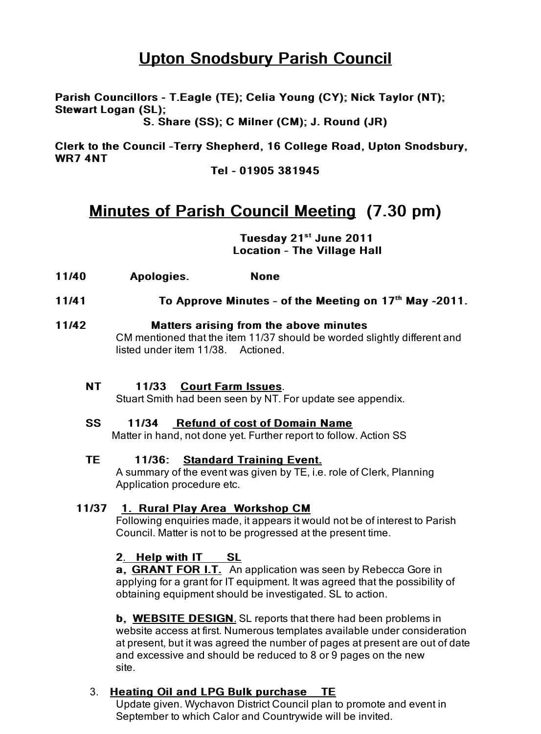# Upton Snodsbury Parish Council

Parish Councillors - T.Eagle (TE); Celia Young (CY); Nick Taylor (NT); Nick Taylor (NT); Stewart Logan (SL);

S. Share (SS); C Milner (CM); J. Round (JR)

Clerk to the Council -Terry Shepherd, 16 College Road, Upton Snodsbury, WR7 4NT

Tel - 01905 381945

# Minutes of Parish Council Meeting (7.30 pm)

Tuesday 21st June 2011 Location - The Village Hall

- 11/40 Apologies. None
- 11/41 To Approve Minutes of the Meeting on  $17<sup>th</sup>$  May -2011.

### 11/42 **Matters arising from the above minutes**

CM mentioned that the item 11/37 should be worded slightly different and listed under item 11/38. Actioned.

### NT 11/33 Court Farm Issues.

Stuart Smith had been seen by NT. For update see appendix.

### SS 11/34 Refund of cost of Domain Name

Matter in hand, not done yet. Further report to follow. Action SS

## TE 11/36: Standard Training Event.

A summary of the event was given by TE, i.e. role of Clerk, Planning Application procedure etc.

## 11/37 1. Rural Play Area Workshop CM

Following enquiries made, it appears it would not be of interest to Parish Council. Matter is not to be progressed at the present time.

## 2. Help with IT SL

a. GRANT FOR I.T. An application was seen by Rebecca Gore in applying for a grant for IT equipment. It was agreed that the possibility of obtaining equipment should be investigated. SL to action.

**b. WEBSITE DESIGN.** SL reports that there had been problems in website access at first. Numerous templates available under consideration at present, but it was agreed the number of pages at present are out of date and excessive and should be reduced to 8 or 9 pages on the new site.

## 3. Heating Oil and LPG Bulk purchase TE

Update given. Wychavon District Council plan to promote and event in September to which Calor and Countrywide will be invited.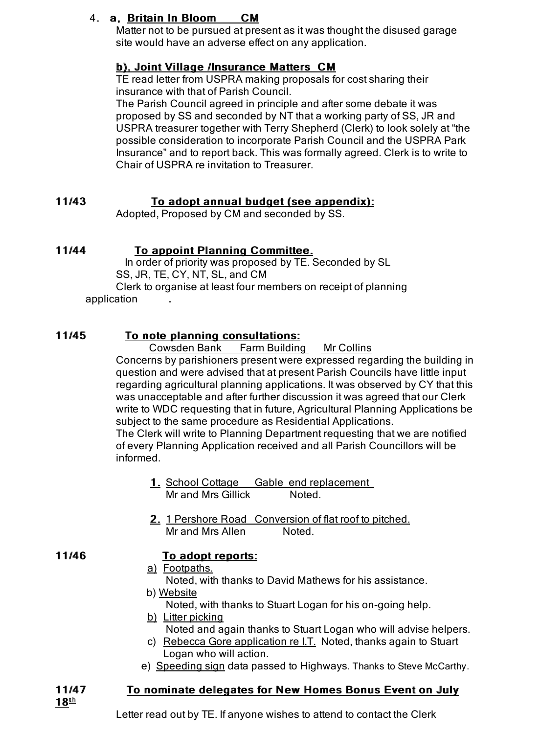## 4. a. Britain In Bloom CM

Matter not to be pursued at present as it was thought the disused garage site would have an adverse effect on any application.

## b), Joint Village /Insurance Matters CM

TE read letter from USPRA making proposals for cost sharing their insurance with that of Parish Council.

The Parish Council agreed in principle and after some debate it was proposed by SS and seconded by NT that a working party of SS, JR and USPRA treasurer together with Terry Shepherd (Clerk) to look solely at "the possible consideration to incorporate Parish Council and the USPRA Park Insurance" and to report back. This was formally agreed. Clerk is to write to Chair of USPRA re invitation to Treasurer.

## 11/43 To adopt annual budget (see appendix):

Adopted, Proposed by CM and seconded by SS.

|  | 11/44 |  |  | <b>To appoint Planning Committee.</b> |
|--|-------|--|--|---------------------------------------|
|--|-------|--|--|---------------------------------------|

 In order of priority was proposed by TE. Seconded by SL SS, JR, TE, CY, NT, SL, and CM Clerk to organise at least four members on receipt of planning application

## 11/45 To note planning consultations:

Cowsden Bank Farm Building Mr Collins

Concerns by parishioners present were expressed regarding the building in question and were advised that at present Parish Councils have little input regarding agricultural planning applications. It was observed by CY that this was unacceptable and after further discussion it was agreed that our Clerk write to WDC requesting that in future, Agricultural Planning Applications be subject to the same procedure as Residential Applications.

The Clerk will write to Planning Department requesting that we are notified of every Planning Application received and all Parish Councillors will be informed.

- 1. School Cottage Gable end replacement Mr and Mrs Gillick Noted.
- 2. 1 Pershore Road Conversion of flat roof to pitched. Mr and Mrs Allen Noted.

## 11/46 To adopt reports:

- a) Footpaths.
- Noted, with thanks to David Mathews for his assistance.
- b) Website

Noted, with thanks to Stuart Logan for his on-going help.

- b) Litter picking
	- Noted and again thanks to Stuart Logan who will advise helpers.
- c) Rebecca Gore application re I.T. Noted, thanks again to Stuart Logan who will action.
- e) Speeding sign data passed to Highways. Thanks to Steve McCarthy.

## 11/47 To nominate delegates for New Homes Bonus Event on July

 $18^{\text{th}}$ 

Letter read out by TE. If anyone wishes to attend to contact the Clerk